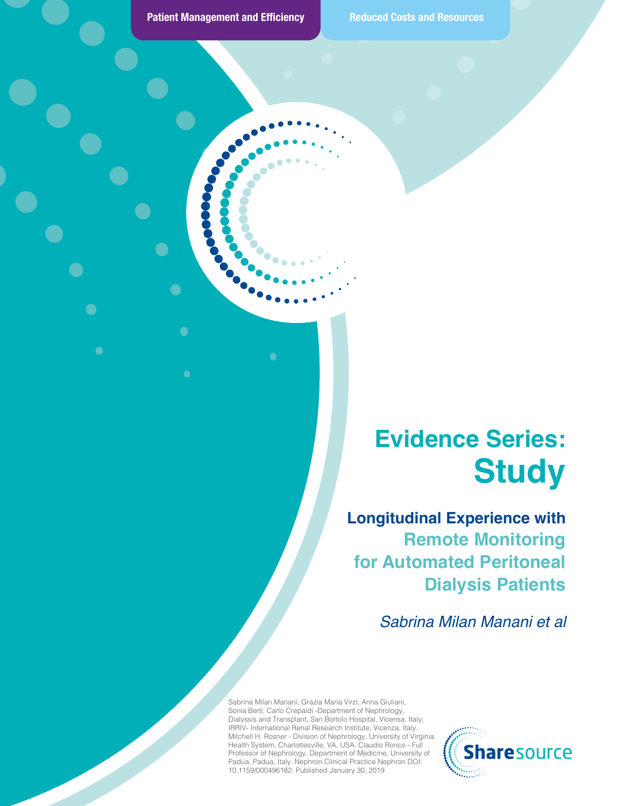$\bullet$ 

 $\bullet$ 

 $\bullet$ 

 $\bullet$ 

#### **Evidence Series: Study**

**Longitudinal Experience with Remote Monitoring for Automated Peritoneal Dialysis Patients**

*Sabrina Milan Manani et al*

Sabrina Milan Manani, Grazia Maria Virzì, Anna Giuliani, Sonia Berti, Carlo Crepaldi -Department of Nephrology, Dialyssis and Transplant, San Bortolo Hospital, Vicensa, Italy; IRRIV- International Renal Research Institute, Vicenza, Italy. Mitchell H. Rosner - Division of Nephrology, University of Virginia Health System, Charlottesville, VA, USA. Claudio Ronco - Full Professor of Nephrology, Department of Medicine, University of Padua, Padua, Italy. Nephron Clinical Practice Nephron DOI: 10.1159/000496182. Published January 30, 2019

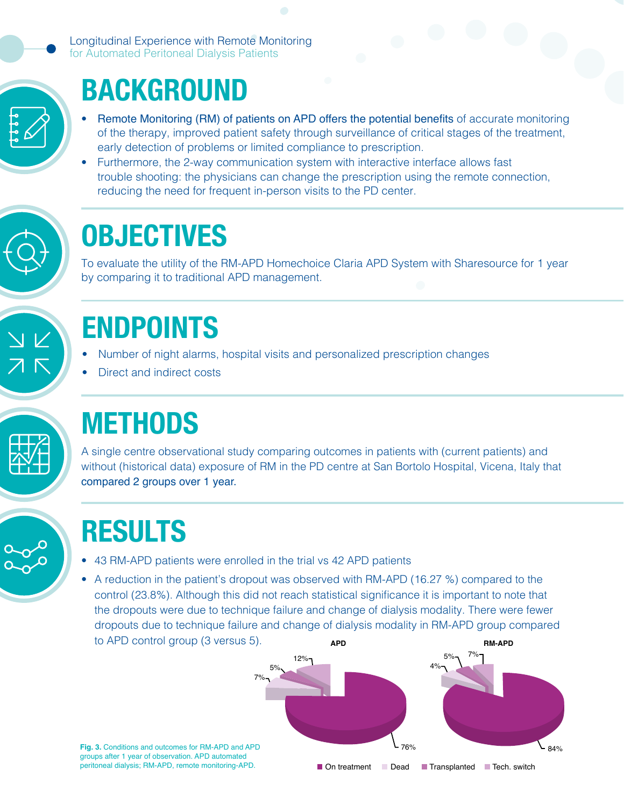Longitudinal Experience with Remote Monitoring for Automated Peritoneal Dialysis Patients



#### BACKGROUND

- Remote Monitoring (RM) of patients on APD offers the potential benefits of accurate monitoring of the therapy, improved patient safety through surveillance of critical stages of the treatment, early detection of problems or limited compliance to prescription.
- Furthermore, the 2-way communication system with interactive interface allows fast trouble shooting: the physicians can change the prescription using the remote connection, reducing the need for frequent in-person visits to the PD center.



#### **OBJECTIVES**

To evaluate the utility of the RM-APD Homechoice Claria APD System with Sharesource for 1 year by comparing it to traditional APD management.



### ENDPOINTS

- Number of night alarms, hospital visits and personalized prescription changes
- Direct and indirect costs



### **METHODS**

A single centre observational study comparing outcomes in patients with (current patients) and without (historical data) exposure of RM in the PD centre at San Bortolo Hospital, Vicena, Italy that compared 2 groups over 1 year.

# RESULTS

- 43 RM-APD patients were enrolled in the trial vs 42 APD patients
- A reduction in the patient's dropout was observed with RM-APD (16.27 %) compared to the control (23.8%). Although this did not reach statistical significance it is important to note that the dropouts were due to technique failure and change of dialysis modality. There were fewer dropouts due to technique failure and change of dialysis modality in RM-APD group compared to APD control group (3 versus 5). **APD RM-APD**  $(20.07)$ , radioago and post-Cao



**Fig. 3.** Conditions and outcomes for RM-APD and APD groups after 1 year of observation. APD automated peritoneal dialysis; RM-APD, remote monitoring-APD.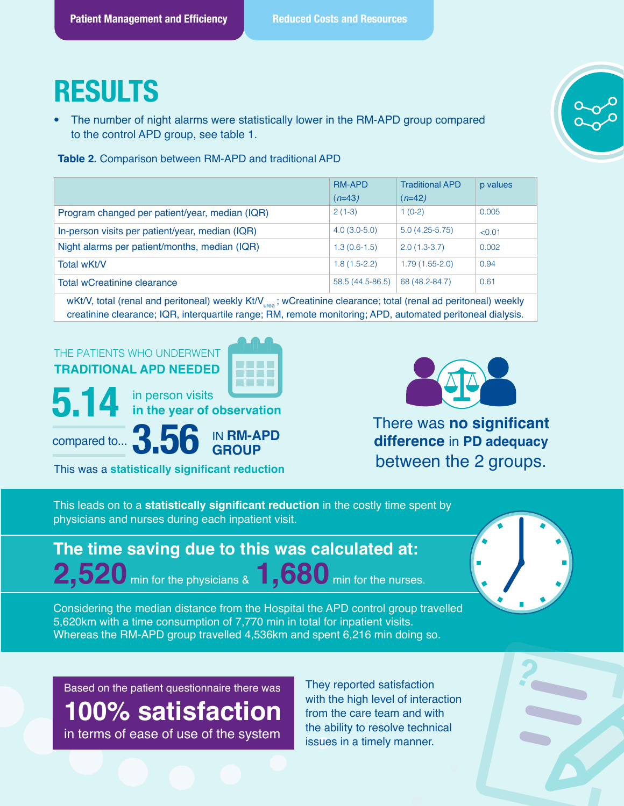#### RESULTS

The number of night alarms were statistically lower in the RM-APD group compared to the control APD group, see table 1.

**Table 2.** Comparison between RM-APD and traditional APD

|                                                 | <b>RM-APD</b>    | <b>Traditional APD</b> | p values |
|-------------------------------------------------|------------------|------------------------|----------|
|                                                 | $(n=43)$         | (n=42)                 |          |
| Program changed per patient/year, median (IQR)  | $2(1-3)$         | $1(0-2)$               | 0.005    |
| In-person visits per patient/year, median (IQR) | $4.0(3.0-5.0)$   | $5.0(4.25-5.75)$       | < 0.01   |
| Night alarms per patient/months, median (IQR)   | $1.3(0.6-1.5)$   | $2.0(1.3-3.7)$         | 0.002    |
| Total wKt/V                                     | $1.8(1.5-2.2)$   | $1.79(1.55-2.0)$       | 0.94     |
| <b>Total wCreatinine clearance</b>              | 58.5 (44.5-86.5) | 68 (48.2-84.7)         | 0.61     |

wKt/V, total (renal and peritoneal) weekly Kt/V<sub>urea</sub>; wCreatinine clearance; total (renal ad peritoneal) weekly creatinine clearance; IQR, interquartile range; RM, remote monitoring; APD, automated peritoneal dialysis.



IN **RM-APD GROUP**

There was **no significant difference** in **PD adequacy** between the 2 groups.

This leads on to a **statistically significant reduction** in the costly time spent by physicians and nurses during each inpatient visit.

#### **The time saving due to this was calculated at: 2,520** min for the physicians & **1,680** min for the nurses.



Considering the median distance from the Hospital the APD control group travelled 5,620km with a time consumption of 7,770 min in total for inpatient visits. Whereas the RM-APD group travelled 4,536km and spent 6,216 min doing so.

Based on the patient questionnaire there was

3.56

compared to...

This was a **statistically significant reduction**

**100% satisfaction** in terms of ease of use of the system

They reported satisfaction ? with the high level of interaction from the care team and with the ability to resolve technical issues in a timely manner.